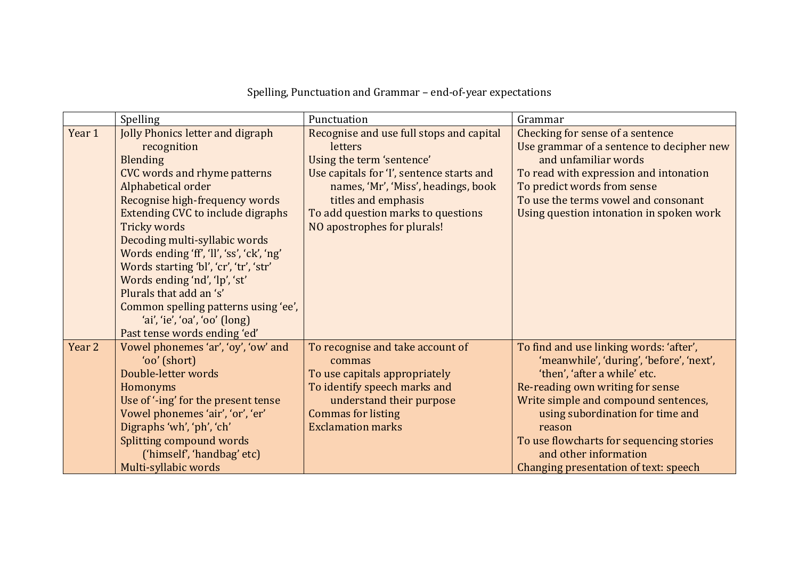## Spelling, Punctuation and Grammar - end-of-year expectations

|        | Spelling                                                                                                                                                                                                                                                                                                                                                                                                                                                                                                                                 | Punctuation                                                                                                                                                                                                                                                      | Grammar                                                                                                                                                                                                                                                                                                                                                     |
|--------|------------------------------------------------------------------------------------------------------------------------------------------------------------------------------------------------------------------------------------------------------------------------------------------------------------------------------------------------------------------------------------------------------------------------------------------------------------------------------------------------------------------------------------------|------------------------------------------------------------------------------------------------------------------------------------------------------------------------------------------------------------------------------------------------------------------|-------------------------------------------------------------------------------------------------------------------------------------------------------------------------------------------------------------------------------------------------------------------------------------------------------------------------------------------------------------|
| Year 1 | <b>Jolly Phonics letter and digraph</b><br>recognition<br><b>Blending</b><br><b>CVC words and rhyme patterns</b><br>Alphabetical order<br>Recognise high-frequency words<br><b>Extending CVC to include digraphs</b><br><b>Tricky words</b><br>Decoding multi-syllabic words<br>Words ending 'ff', 'll', 'ss', 'ck', 'ng'<br>Words starting 'bl', 'cr', 'tr', 'str'<br>Words ending 'nd', 'lp', 'st'<br>Plurals that add an 's'<br>Common spelling patterns using 'ee',<br>'ai', 'ie', 'oa', 'oo' (long)<br>Past tense words ending 'ed' | Recognise and use full stops and capital<br>letters<br>Using the term 'sentence'<br>Use capitals for 'I', sentence starts and<br>names, 'Mr', 'Miss', headings, book<br>titles and emphasis<br>To add question marks to questions<br>NO apostrophes for plurals! | Checking for sense of a sentence<br>Use grammar of a sentence to decipher new<br>and unfamiliar words<br>To read with expression and intonation<br>To predict words from sense<br>To use the terms vowel and consonant<br>Using question intonation in spoken work                                                                                          |
| Year 2 | Vowel phonemes 'ar', 'oy', 'ow' and<br>'oo' (short)<br>Double-letter words<br>Homonyms<br>Use of '-ing' for the present tense<br>Vowel phonemes 'air', 'or', 'er'<br>Digraphs 'wh', 'ph', 'ch'<br>Splitting compound words<br>('himself', 'handbag' etc)<br>Multi-syllabic words                                                                                                                                                                                                                                                         | To recognise and take account of<br>commas<br>To use capitals appropriately<br>To identify speech marks and<br>understand their purpose<br><b>Commas for listing</b><br><b>Exclamation marks</b>                                                                 | To find and use linking words: 'after',<br>'meanwhile', 'during', 'before', 'next',<br>'then', 'after a while' etc.<br>Re-reading own writing for sense<br>Write simple and compound sentences,<br>using subordination for time and<br>reason<br>To use flowcharts for sequencing stories<br>and other information<br>Changing presentation of text: speech |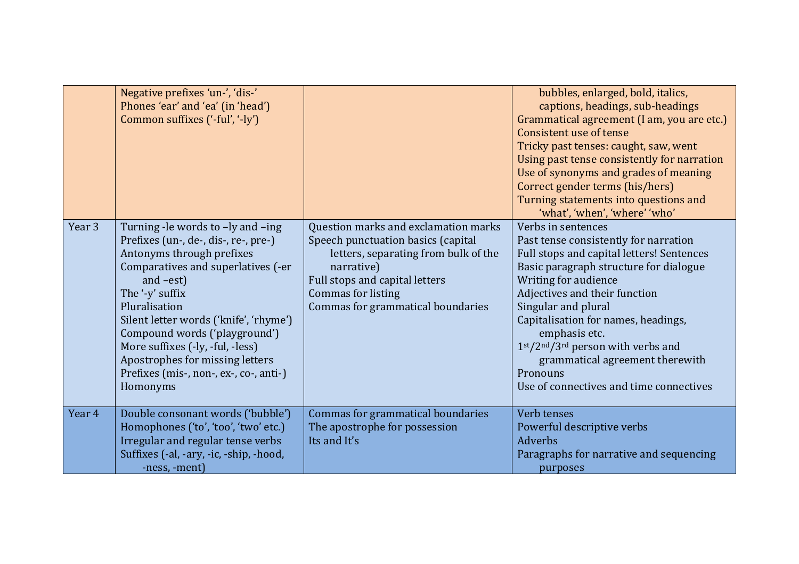|        | Negative prefixes 'un-', 'dis-'<br>Phones 'ear' and 'ea' (in 'head')<br>Common suffixes ('-ful', '-ly')                                                                                                                                                                                                                                                                                                  |                                                                                                                                                                                                                               | bubbles, enlarged, bold, italics,<br>captions, headings, sub-headings<br>Grammatical agreement (I am, you are etc.)<br>Consistent use of tense<br>Tricky past tenses: caught, saw, went<br>Using past tense consistently for narration<br>Use of synonyms and grades of meaning<br>Correct gender terms (his/hers)<br>Turning statements into questions and<br>'what', 'when', 'where' 'who'                                |
|--------|----------------------------------------------------------------------------------------------------------------------------------------------------------------------------------------------------------------------------------------------------------------------------------------------------------------------------------------------------------------------------------------------------------|-------------------------------------------------------------------------------------------------------------------------------------------------------------------------------------------------------------------------------|-----------------------------------------------------------------------------------------------------------------------------------------------------------------------------------------------------------------------------------------------------------------------------------------------------------------------------------------------------------------------------------------------------------------------------|
| Year 3 | Turning -le words to -ly and -ing<br>Prefixes (un-, de-, dis-, re-, pre-)<br>Antonyms through prefixes<br>Comparatives and superlatives (-er<br>and $-est$ )<br>The '-y' suffix<br>Pluralisation<br>Silent letter words ('knife', 'rhyme')<br>Compound words ('playground')<br>More suffixes (-ly, -ful, -less)<br>Apostrophes for missing letters<br>Prefixes (mis-, non-, ex-, co-, anti-)<br>Homonyms | Question marks and exclamation marks<br>Speech punctuation basics (capital<br>letters, separating from bulk of the<br>narrative)<br>Full stops and capital letters<br>Commas for listing<br>Commas for grammatical boundaries | Verbs in sentences<br>Past tense consistently for narration<br>Full stops and capital letters! Sentences<br>Basic paragraph structure for dialogue<br>Writing for audience<br>Adjectives and their function<br>Singular and plural<br>Capitalisation for names, headings,<br>emphasis etc.<br>$1st/2nd/3rd$ person with verbs and<br>grammatical agreement therewith<br>Pronouns<br>Use of connectives and time connectives |
| Year 4 | Double consonant words ('bubble')<br>Homophones ('to', 'too', 'two' etc.)<br>Irregular and regular tense verbs<br>Suffixes (-al, -ary, -ic, -ship, -hood,<br>-ness, -ment)                                                                                                                                                                                                                               | Commas for grammatical boundaries<br>The apostrophe for possession<br>Its and It's                                                                                                                                            | Verb tenses<br>Powerful descriptive verbs<br><b>Adverbs</b><br>Paragraphs for narrative and sequencing<br>purposes                                                                                                                                                                                                                                                                                                          |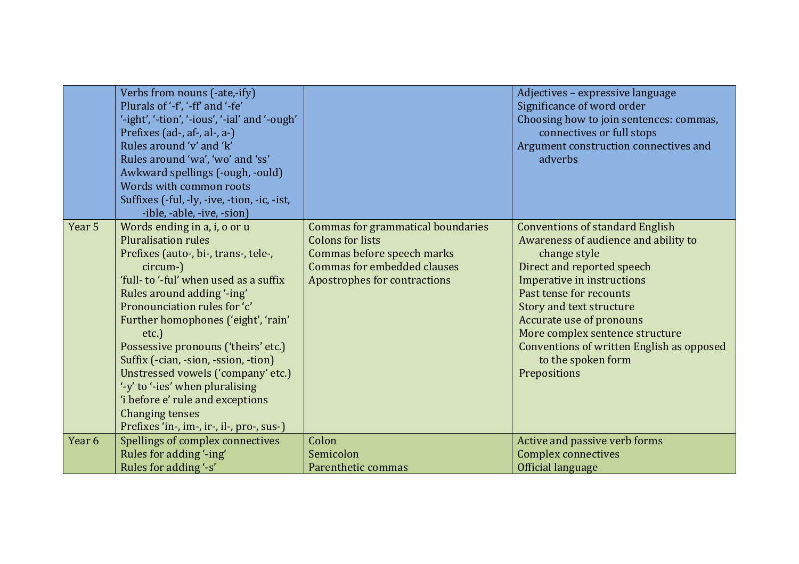|        | Verbs from nouns (-ate,-ify)<br>Plurals of '-f', '-ff' and '-fe'<br>'-ight', '-tion', '-ious', '-ial' and '-ough'<br>Prefixes (ad-, af-, al-, a-)<br>Rules around 'v' and 'k'<br>Rules around 'wa', 'wo' and 'ss'<br>Awkward spellings (-ough, -ould)<br>Words with common roots<br>Suffixes (-ful, -ly, -ive, -tion, -ic, -ist,<br>-ible, -able, -ive, -sion)                                                                                                                                                                     |                                                                                                                                                           | Adjectives - expressive language<br>Significance of word order<br>Choosing how to join sentences: commas,<br>connectives or full stops<br>Argument construction connectives and<br>adverbs                                                                                                                                                                                 |
|--------|------------------------------------------------------------------------------------------------------------------------------------------------------------------------------------------------------------------------------------------------------------------------------------------------------------------------------------------------------------------------------------------------------------------------------------------------------------------------------------------------------------------------------------|-----------------------------------------------------------------------------------------------------------------------------------------------------------|----------------------------------------------------------------------------------------------------------------------------------------------------------------------------------------------------------------------------------------------------------------------------------------------------------------------------------------------------------------------------|
| Year 5 | Words ending in a, i, o or u<br><b>Pluralisation rules</b><br>Prefixes (auto-, bi-, trans-, tele-,<br>circum-)<br>'full- to '-ful' when used as a suffix<br>Rules around adding '-ing'<br>Pronounciation rules for 'c'<br>Further homophones ('eight', 'rain'<br>etc.)<br>Possessive pronouns ('theirs' etc.)<br>Suffix (-cian, -sion, -ssion, -tion)<br>Unstressed vowels ('company' etc.)<br>'-y' to '-ies' when pluralising<br>'i before e' rule and exceptions<br>Changing tenses<br>Prefixes 'in-, im-, ir-, il-, pro-, sus-) | Commas for grammatical boundaries<br><b>Colons for lists</b><br>Commas before speech marks<br>Commas for embedded clauses<br>Apostrophes for contractions | <b>Conventions of standard English</b><br>Awareness of audience and ability to<br>change style<br>Direct and reported speech<br>Imperative in instructions<br>Past tense for recounts<br>Story and text structure<br>Accurate use of pronouns<br>More complex sentence structure<br><b>Conventions of written English as opposed</b><br>to the spoken form<br>Prepositions |
| Year 6 | Spellings of complex connectives                                                                                                                                                                                                                                                                                                                                                                                                                                                                                                   | Colon                                                                                                                                                     | Active and passive verb forms                                                                                                                                                                                                                                                                                                                                              |
|        | Rules for adding '-ing'                                                                                                                                                                                                                                                                                                                                                                                                                                                                                                            | Semicolon                                                                                                                                                 | <b>Complex connectives</b>                                                                                                                                                                                                                                                                                                                                                 |
|        | Rules for adding '-s'                                                                                                                                                                                                                                                                                                                                                                                                                                                                                                              | Parenthetic commas                                                                                                                                        | Official language                                                                                                                                                                                                                                                                                                                                                          |